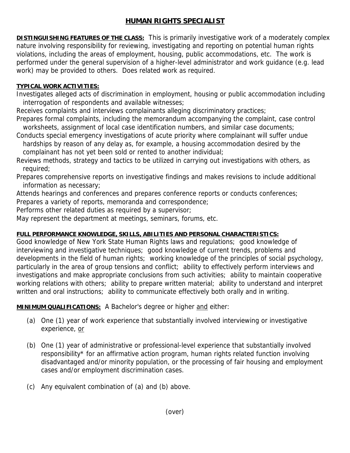## **HUMAN RIGHTS SPECIALIST**

**DISTINGUISHING FEATURES OF THE CLASS:** This is primarily investigative work of a moderately complex nature involving responsibility for reviewing, investigating and reporting on potential human rights violations, including the areas of employment, housing, public accommodations, etc. The work is performed under the general supervision of a higher-level administrator and work guidance (e.g. lead work) may be provided to others. Does related work as required.

## **TYPICAL WORK ACTIVITIES:**

Investigates alleged acts of discrimination in employment, housing or public accommodation including interrogation of respondents and available witnesses;

Receives complaints and interviews complainants alleging discriminatory practices;

Prepares formal complaints, including the memorandum accompanying the complaint, case control worksheets, assignment of local case identification numbers, and similar case documents;

Conducts special emergency investigations of acute priority where complainant will suffer undue hardships by reason of any delay as, for example, a housing accommodation desired by the complainant has not yet been sold or rented to another individual;

Reviews methods, strategy and tactics to be utilized in carrying out investigations with others, as required;

Prepares comprehensive reports on investigative findings and makes revisions to include additional information as necessary;

Attends hearings and conferences and prepares conference reports or conducts conferences;

Prepares a variety of reports, memoranda and correspondence;

Performs other related duties as required by a supervisor;

May represent the department at meetings, seminars, forums, etc.

## **FULL PERFORMANCE KNOWLEDGE, SKILLS, ABILITIES AND PERSONAL CHARACTERISTICS:**

Good knowledge of New York State Human Rights laws and regulations; good knowledge of interviewing and investigative techniques; good knowledge of current trends, problems and developments in the field of human rights; working knowledge of the principles of social psychology, particularly in the area of group tensions and conflict; ability to effectively perform interviews and investigations and make appropriate conclusions from such activities; ability to maintain cooperative working relations with others; ability to prepare written material; ability to understand and interpret written and oral instructions; ability to communicate effectively both orally and in writing.

**MINIMUM QUALIFICATIONS:** A Bachelor's degree or higher and either:

- (a) One (1) year of work experience that substantially involved interviewing or investigative experience, or
- (b) One (1) year of administrative or professional-level experience that substantially involved responsibility\* for an affirmative action program, human rights related function involving disadvantaged and/or minority population, or the processing of fair housing and employment cases and/or employment discrimination cases.
- (c) Any equivalent combination of (a) and (b) above.